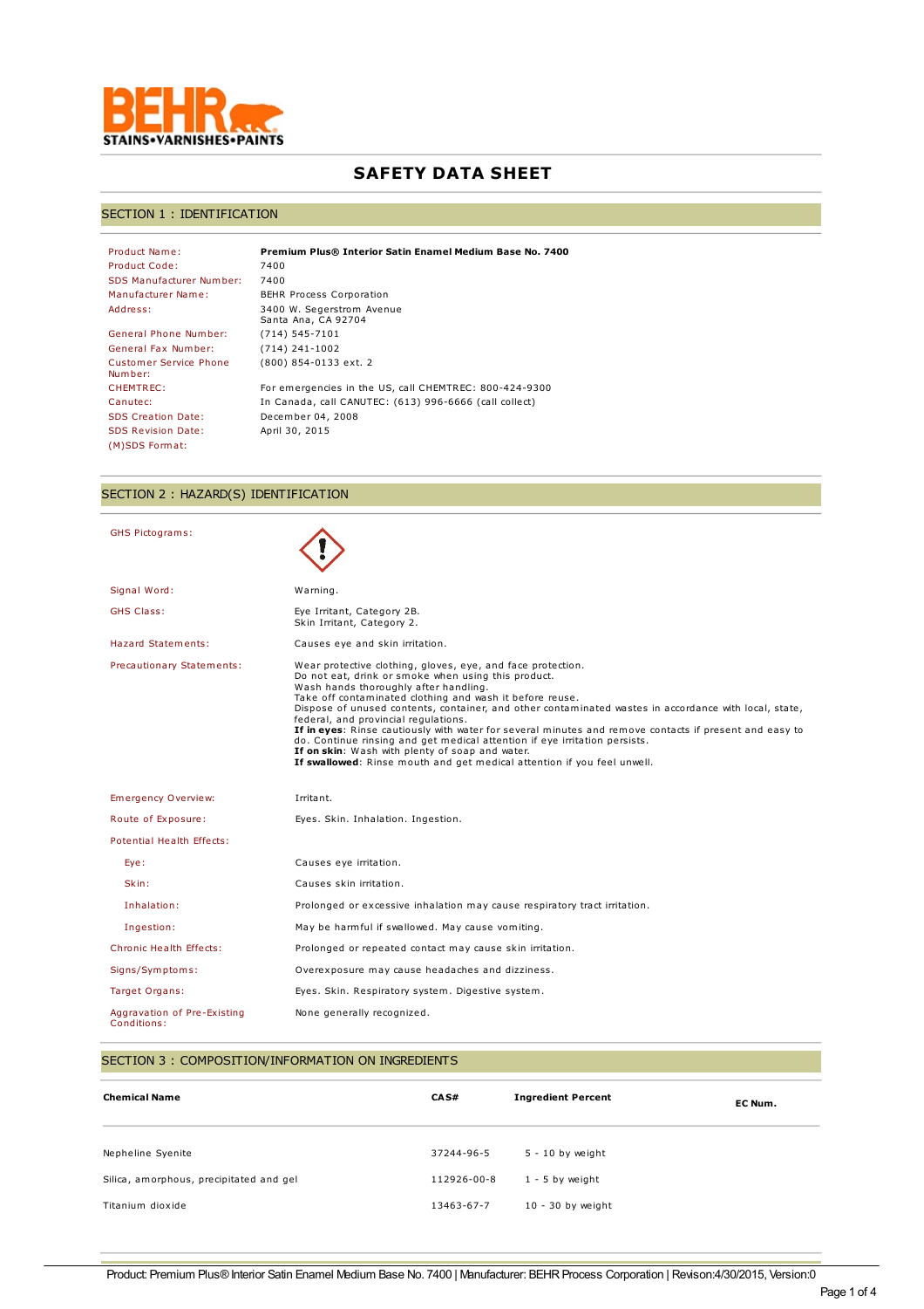

# **SAFETY DATA SHEET**

## SECTION 1 : IDENTIFICATION

| Product Name:                            | Premium Plus® Interior Satin Enamel Medium Base No. 7400 |
|------------------------------------------|----------------------------------------------------------|
| Product Code:                            | 7400                                                     |
| <b>SDS Manufacturer Number:</b>          | 7400                                                     |
| Manufacturer Name:                       | <b>BEHR Process Corporation</b>                          |
| Address:                                 | 3400 W. Segerstrom Avenue<br>Santa Ana, CA 92704         |
| General Phone Number:                    | $(714) 545 - 7101$                                       |
| General Fax Number:                      | $(714)$ 241-1002                                         |
| <b>Customer Service Phone</b><br>Number: | (800) 854-0133 ext. 2                                    |
| CHEMTREC:                                | For emergencies in the US, call CHEMTREC: 800-424-9300   |
| Canutec:                                 | In Canada, call CANUTEC: (613) 996-6666 (call collect)   |
| <b>SDS Creation Date:</b>                | December 04, 2008                                        |
| <b>SDS Revision Date:</b>                | April 30, 2015                                           |
| (M)SDS Format:                           |                                                          |

# SECTION 2 : HAZARD(S) IDENTIFICATION

| <b>GHS Pictograms:</b>    |                                                                                                                                                                                                                                                                                                                                                                                                                                                                                                                                                                                                                                                                                                |
|---------------------------|------------------------------------------------------------------------------------------------------------------------------------------------------------------------------------------------------------------------------------------------------------------------------------------------------------------------------------------------------------------------------------------------------------------------------------------------------------------------------------------------------------------------------------------------------------------------------------------------------------------------------------------------------------------------------------------------|
| Signal Word:              | Warning.                                                                                                                                                                                                                                                                                                                                                                                                                                                                                                                                                                                                                                                                                       |
| <b>GHS Class:</b>         | Eye Irritant, Category 2B.<br>Skin Irritant, Category 2.                                                                                                                                                                                                                                                                                                                                                                                                                                                                                                                                                                                                                                       |
| <b>Hazard Statements:</b> | Causes eve and skin irritation.                                                                                                                                                                                                                                                                                                                                                                                                                                                                                                                                                                                                                                                                |
| Precautionary Statements: | Wear protective clothing, gloves, eye, and face protection.<br>Do not eat, drink or smoke when using this product.<br>Wash hands thoroughly after handling.<br>Take off contaminated clothing and wash it before reuse.<br>Dispose of unused contents, container, and other contaminated wastes in accordance with local, state,<br>federal, and provincial regulations.<br>If in eyes: Rinse cautiously with water for several minutes and remove contacts if present and easy to<br>do. Continue rinsing and get medical attention if eye irritation persists.<br>If on skin: Wash with plenty of soap and water.<br>If swallowed: Rinse mouth and get medical attention if you feel unwell. |
|                           |                                                                                                                                                                                                                                                                                                                                                                                                                                                                                                                                                                                                                                                                                                |
| Emergency Overview:       | Irritant.                                                                                                                                                                                                                                                                                                                                                                                                                                                                                                                                                                                                                                                                                      |
| Route of Exposure:        | Eyes. Skin. Inhalation. Ingestion.                                                                                                                                                                                                                                                                                                                                                                                                                                                                                                                                                                                                                                                             |
| Potential Health Effects: |                                                                                                                                                                                                                                                                                                                                                                                                                                                                                                                                                                                                                                                                                                |
| Eye:                      | Causes eye irritation.                                                                                                                                                                                                                                                                                                                                                                                                                                                                                                                                                                                                                                                                         |
| Skin:                     | Causes skin irritation.                                                                                                                                                                                                                                                                                                                                                                                                                                                                                                                                                                                                                                                                        |
| Inhalation:               | Prolonged or excessive inhalation may cause respiratory tract irritation.                                                                                                                                                                                                                                                                                                                                                                                                                                                                                                                                                                                                                      |
| Ingestion:                | May be harmful if swallowed. May cause vomiting.                                                                                                                                                                                                                                                                                                                                                                                                                                                                                                                                                                                                                                               |
| Chronic Health Effects:   | Prolonged or repeated contact may cause skin irritation.                                                                                                                                                                                                                                                                                                                                                                                                                                                                                                                                                                                                                                       |
| Signs/Symptoms:           | Overexposure may cause headaches and dizziness.                                                                                                                                                                                                                                                                                                                                                                                                                                                                                                                                                                                                                                                |
| Target Organs:            | Eyes. Skin. Respiratory system. Digestive system.                                                                                                                                                                                                                                                                                                                                                                                                                                                                                                                                                                                                                                              |

## SECTION 3 : COMPOSITION/INFORMATION ON INGREDIENTS

| <b>Chemical Name</b>                    | CA S#       | <b>Ingredient Percent</b> | EC Num. |
|-----------------------------------------|-------------|---------------------------|---------|
| Nepheline Syenite                       | 37244-96-5  | $5 - 10$ by weight        |         |
| Silica, amorphous, precipitated and gel | 112926-00-8 | $1 - 5$ by weight         |         |
| Titanium dioxide                        | 13463-67-7  | $10 - 30$ by weight       |         |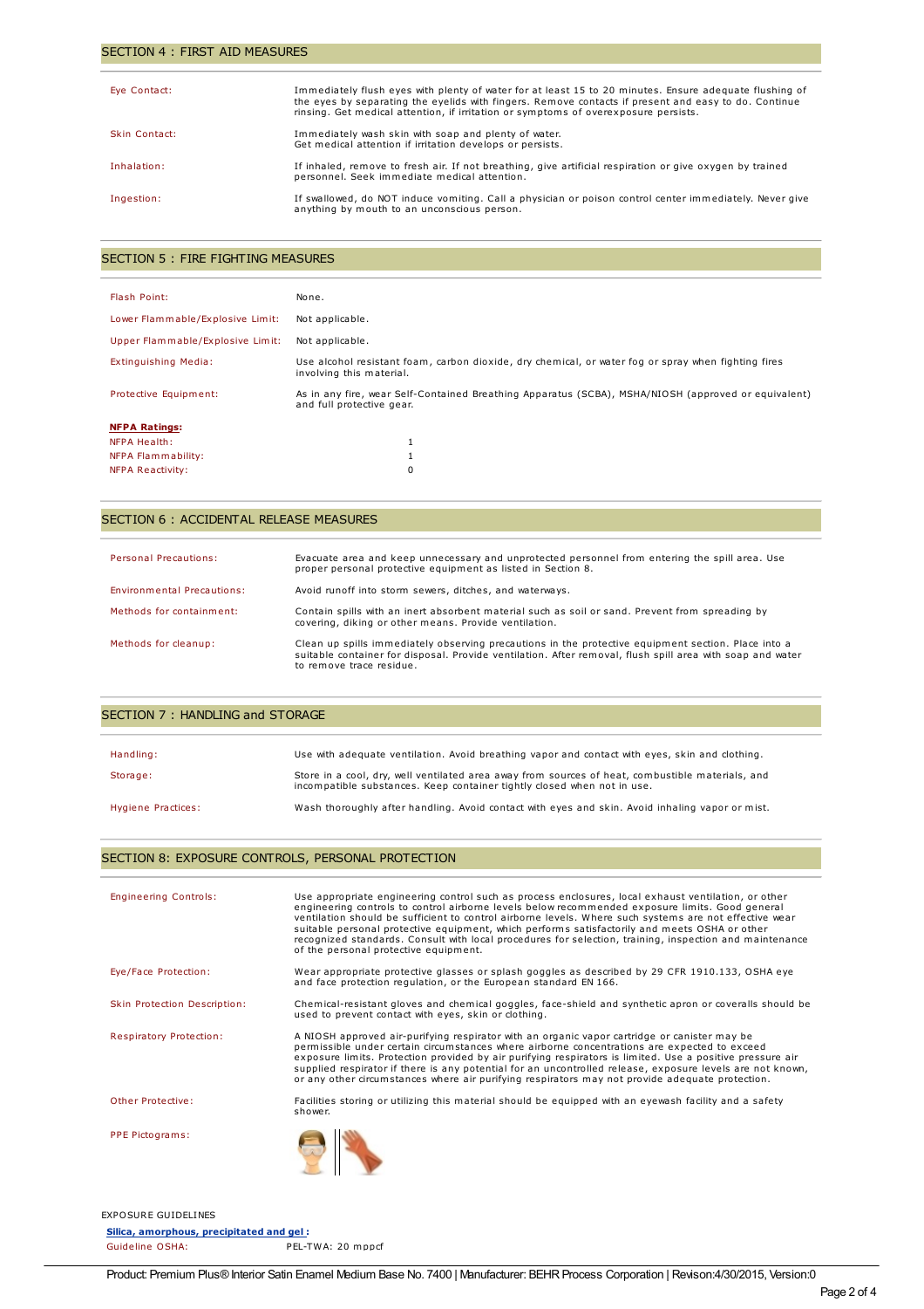#### SECTION 4 : FIRST AID MEASURES

| Eye Contact:  | Immediately flush eyes with plenty of water for at least 15 to 20 minutes. Ensure adequate flushing of<br>the eyes by separating the eyelids with fingers. Remove contacts if present and easy to do. Continue<br>rinsing. Get medical attention, if irritation or symptoms of overexposure persists. |
|---------------|-------------------------------------------------------------------------------------------------------------------------------------------------------------------------------------------------------------------------------------------------------------------------------------------------------|
| Skin Contact: | Immediately wash skin with soap and plenty of water.<br>Get medical attention if irritation develops or persists.                                                                                                                                                                                     |
| Inhalation:   | If inhaled, remove to fresh air. If not breathing, give artificial respiration or give oxygen by trained<br>personnel. Seek immediate medical attention.                                                                                                                                              |
| Ingestion:    | If swallowed, do NOT induce vomiting. Call a physician or poison control center immediately. Never give<br>anything by mouth to an unconscious person.                                                                                                                                                |

## SECTION 5 : FIRE FIGHTING MEASURES

| Flash Point:                     | None.                                                                                                                            |
|----------------------------------|----------------------------------------------------------------------------------------------------------------------------------|
| Lower Flammable/Explosive Limit: | Not applicable.                                                                                                                  |
| Upper Flammable/Explosive Limit: | Not applicable.                                                                                                                  |
| Extinguishing Media:             | Use alcohol resistant foam, carbon dioxide, dry chemical, or water fog or spray when fighting fires<br>involving this material.  |
| Protective Equipment:            | As in any fire, wear Self-Contained Breathing Apparatus (SCBA), MSHA/NIOSH (approved or equivalent)<br>and full protective gear. |
| <b>NFPA Ratings:</b>             |                                                                                                                                  |
| <b>NFPA Health:</b>              |                                                                                                                                  |
| NFPA Flammability:               |                                                                                                                                  |
| NFPA Reactivity:                 | $\Omega$                                                                                                                         |

#### SECTION 6 : ACCIDENTAL RELEASE MEASURES

| <b>Personal Precautions:</b> | Evacuate area and keep unnecessary and unprotected personnel from entering the spill area. Use<br>proper personal protective equipment as listed in Section 8.                                                                               |
|------------------------------|----------------------------------------------------------------------------------------------------------------------------------------------------------------------------------------------------------------------------------------------|
| Environmental Precautions:   | Avoid runoff into storm sewers, ditches, and waterways.                                                                                                                                                                                      |
| Methods for containment:     | Contain spills with an inert absorbent material such as soil or sand. Prevent from spreading by<br>covering, diking or other means. Provide ventilation.                                                                                     |
| Methods for cleanup:         | Clean up spills immediately observing precautions in the protective equipment section. Place into a<br>suitable container for disposal. Provide ventilation. After removal, flush spill area with soap and water<br>to remove trace residue. |

| SECTION 7: HANDLING and STORAGE |                                                                                                                                                                             |  |
|---------------------------------|-----------------------------------------------------------------------------------------------------------------------------------------------------------------------------|--|
|                                 |                                                                                                                                                                             |  |
| Handling:                       | Use with adequate ventilation. Avoid breathing vapor and contact with eyes, skin and clothing.                                                                              |  |
| Storage:                        | Store in a cool, dry, well ventilated area away from sources of heat, combustible materials, and<br>incompatible substances. Keep container tightly closed when not in use. |  |
| Hygiene Practices:              | Wash thoroughly after handling. Avoid contact with eyes and skin. Avoid inhaling vapor or mist.                                                                             |  |

## SECTION 8: EXPOSURE CONTROLS, PERSONAL PROTECTION

| <b>Engineering Controls:</b>   | Use appropriate engineering control such as process enclosures, local exhaust ventilation, or other<br>engineering controls to control airborne levels below recommended exposure limits. Good general<br>ventilation should be sufficient to control airborne levels. Where such systems are not effective wear<br>suitable personal protective equipment, which performs satisfactorily and meets OSHA or other<br>recognized standards. Consult with local procedures for selection, training, inspection and maintenance<br>of the personal protective equipment. |  |
|--------------------------------|-----------------------------------------------------------------------------------------------------------------------------------------------------------------------------------------------------------------------------------------------------------------------------------------------------------------------------------------------------------------------------------------------------------------------------------------------------------------------------------------------------------------------------------------------------------------------|--|
| Eye/Face Protection:           | Wear appropriate protective glasses or splash goggles as described by 29 CFR 1910.133, OSHA eye<br>and face protection requlation, or the European standard EN 166.                                                                                                                                                                                                                                                                                                                                                                                                   |  |
| Skin Protection Description:   | Chemical-resistant gloves and chemical goggles, face-shield and synthetic apron or coveralls should be<br>used to prevent contact with eyes, skin or clothing.                                                                                                                                                                                                                                                                                                                                                                                                        |  |
| <b>Respiratory Protection:</b> | A NIOSH approved air-purifying respirator with an organic vapor cartridge or canister may be<br>permissible under certain circumstances where airborne concentrations are expected to exceed<br>exposure limits. Protection provided by air purifying respirators is limited. Use a positive pressure air<br>supplied respirator if there is any potential for an uncontrolled release, exposure levels are not known,<br>or any other circumstances where air purifying respirators may not provide adequate protection.                                             |  |
| Other Protective:              | Facilities storing or utilizing this material should be equipped with an eyewash facility and a safety<br>shower.                                                                                                                                                                                                                                                                                                                                                                                                                                                     |  |
| PPE Pictograms:                |                                                                                                                                                                                                                                                                                                                                                                                                                                                                                                                                                                       |  |

EXPOSURE GUIDELINES

**Silica, amorphous, precipitated and gel :** Guideline OSHA: PEL-TWA: 20 mppcf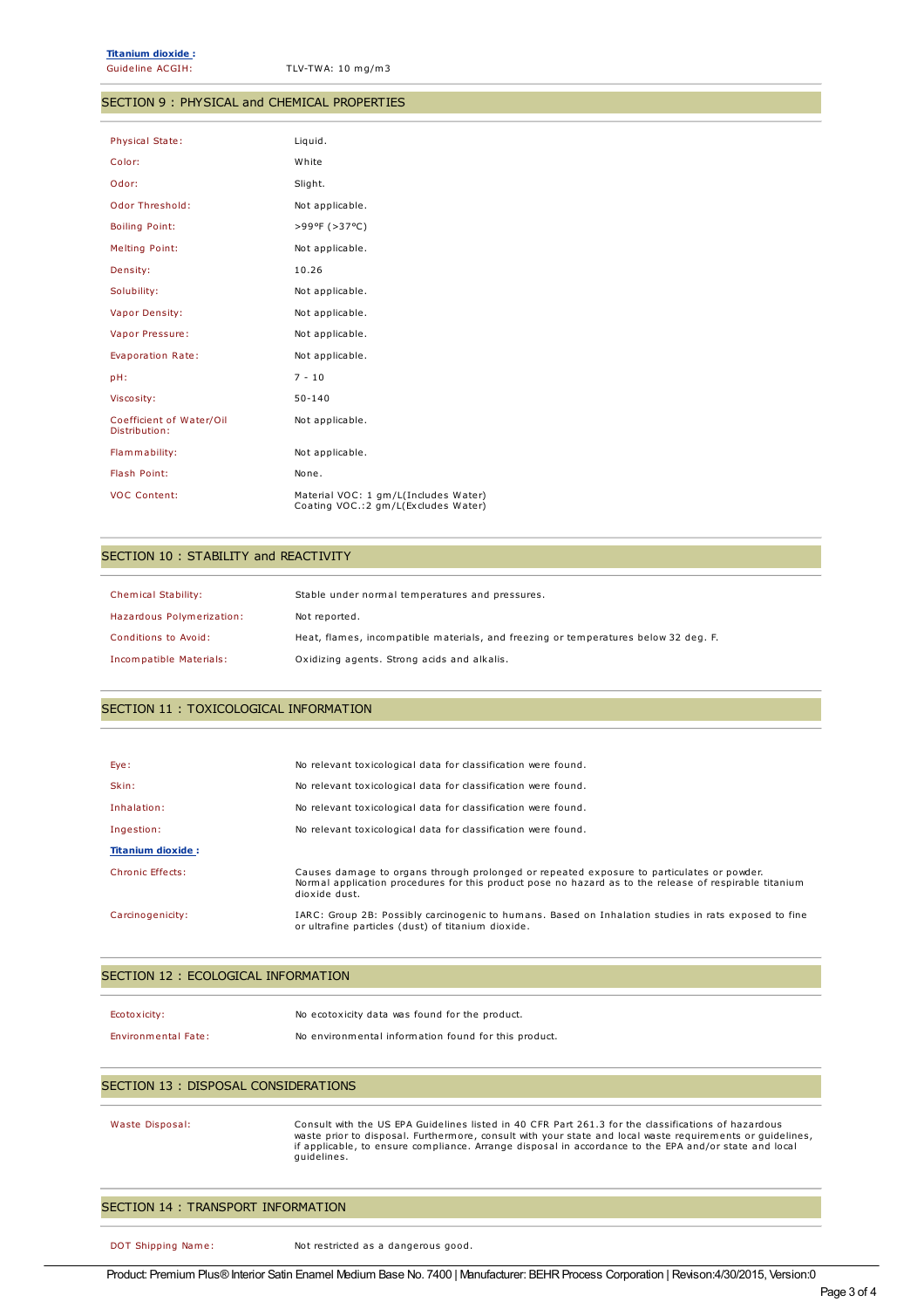Guideline ACGIH: TLV-TWA: 10 mg/m3

#### SECTION 9 : PHYSICAL and CHEMICAL PROPERTIES

| Physical State:                           | Liquid.                                                                      |
|-------------------------------------------|------------------------------------------------------------------------------|
| Color:                                    | White                                                                        |
| Odor:                                     | Slight.                                                                      |
| Odor Threshold:                           | Not applicable.                                                              |
| <b>Boiling Point:</b>                     | >99ºF (>37°C)                                                                |
| Melting Point:                            | Not applicable.                                                              |
| Density:                                  | 10.26                                                                        |
| Solubility:                               | Not applicable.                                                              |
| Vapor Density:                            | Not applicable.                                                              |
| Vapor Pressure:                           | Not applicable.                                                              |
| Evaporation Rate:                         | Not applicable.                                                              |
| pH:                                       | $7 - 10$                                                                     |
| Viscosity:                                | $50 - 140$                                                                   |
| Coefficient of Water/Oil<br>Distribution: | Not applicable.                                                              |
| Flammability:                             | Not applicable.                                                              |
| Flash Point:                              | None.                                                                        |
| <b>VOC Content:</b>                       | Material VOC: 1 gm/L(Includes Water)<br>Coating VOC.: 2 gm/L(Excludes Water) |

#### SECTION 10 : STABILITY and REACTIVITY

| Chemical Stability:       | Stable under normal temperatures and pressures.                                     |
|---------------------------|-------------------------------------------------------------------------------------|
| Hazardous Polymerization: | Not reported.                                                                       |
| Conditions to Avoid:      | Heat, flames, incompatible materials, and freezing or temperatures below 32 deg. F. |
| Incompatible Materials:   | Oxidizing agents. Strong acids and alkalis.                                         |

#### SECTION 11 : TOXICOLOGICAL INFORMATION

| Eye:                     | No relevant toxicological data for classification were found.                                                                                                                                                        |
|--------------------------|----------------------------------------------------------------------------------------------------------------------------------------------------------------------------------------------------------------------|
| Skin:                    | No relevant toxicological data for classification were found.                                                                                                                                                        |
| Inhalation:              | No relevant toxicological data for classification were found.                                                                                                                                                        |
| Ingestion:               | No relevant toxicological data for classification were found.                                                                                                                                                        |
| <b>Titanium dioxide:</b> |                                                                                                                                                                                                                      |
| Chronic Effects:         | Causes damage to organs through prolonged or repeated exposure to particulates or powder.<br>Normal application procedures for this product pose no hazard as to the release of respirable titanium<br>dioxide dust. |
| Carcinogenicity:         | IARC: Group 2B: Possibly carcinogenic to humans. Based on Inhalation studies in rats exposed to fine<br>or ultrafine particles (dust) of titanium dioxide.                                                           |

#### SECTION 12 : ECOLOGICAL INFORMATION

| Ecotoxicity:               | No ecotoxicity data was found for the product.       |
|----------------------------|------------------------------------------------------|
| <b>Environmental Fate:</b> | No environmental information found for this product. |

#### SECTION 13 : DISPOSAL CONSIDERATIONS

# Waste Disposal: Consult with the US EPA Guidelines listed in 40 CFR Part 261.3 for the classifications of hazardous waste prior to disposal. Furthermore, consult with your state and local waste requirements or guidelines, if applicable, to ensure compliance. Arrange disposal in accordance to the EPA and/or state and local guidelines.

#### SECTION 14 : TRANSPORT INFORMATION

DOT Shipping Name: Not restricted as a dangerous good.